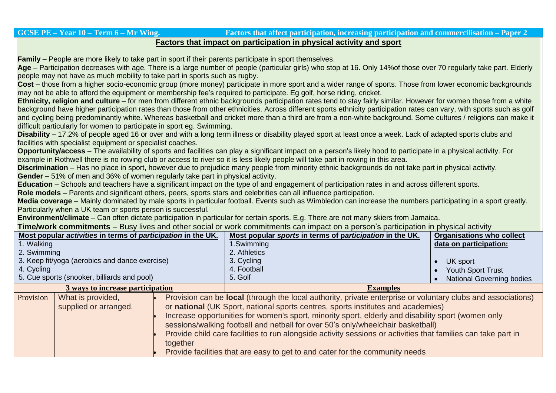## GCSE PE – Year 10 – Term 6 – Mr Wing.<br>
Factors that affect participation, increasing participation and commercilisation – Paper 2 **Factors that impact on participation in physical activity and sport**

**Family** – People are more likely to take part in sport if their parents participate in sport themselves.

**Age** – Participation decreases with age. There is a large number of people (particular girls) who stop at 16. Only 14%of those over 70 regularly take part. Elderly people may not have as much mobility to take part in sports such as rugby.

**Cost** – those from a higher socio-economic group (more money) participate in more sport and a wider range of sports. Those from lower economic backgrounds may not be able to afford the equipment or membership fee's required to participate. Eg golf, horse riding, cricket.

**Ethnicity, religion and culture** – for men from different ethnic backgrounds participation rates tend to stay fairly similar. However for women those from a white background have higher participation rates than those from other ethnicities. Across different sports ethnicity participation rates can vary, with sports such as golf and cycling being predominantly white. Whereas basketball and cricket more than a third are from a non-white background. Some cultures / religions can make it difficult particularly for women to participate in sport eg. Swimming.

**Disability** – 17.2% of people aged 16 or over and with a long term illness or disability played sport at least once a week. Lack of adapted sports clubs and facilities with specialist equipment or specialist coaches.

**Opportunity/access** – The availability of sports and facilities can play a significant impact on a person's likely hood to participate in a physical activity. For example in Rothwell there is no rowing club or access to river so it is less likely people will take part in rowing in this area.

**Discrimination** – Has no place in sport, however due to prejudice many people from minority ethnic backgrounds do not take part in physical activity.

**Gender** – 51% of men and 36% of women regularly take part in physical activity.

**Education** – Schools and teachers have a significant impact on the type of and engagement of participation rates in and across different sports.

**Role models** – Parents and significant others, peers, sports stars and celebrities can all influence participation.

**Media coverage** – Mainly dominated by male sports in particular football. Events such as Wimbledon can increase the numbers participating in a sport greatly. Particularly when a UK team or sports person is successful.

**Environment/climate** – Can often dictate participation in particular for certain sports. E.g. There are not many skiers from Jamaica.

**Time/work commitments** – Busy lives and other social or work commitments can impact on a person's participation in physical activity

| Most popular activities in terms of participation in the UK. |                                            |                                                                                                                                                                                                                                                                                                                                                                                                                                                                                                                                                                                                               | Most popular sports in terms of participation in the UK. | <b>Organisations who collect</b> |
|--------------------------------------------------------------|--------------------------------------------|---------------------------------------------------------------------------------------------------------------------------------------------------------------------------------------------------------------------------------------------------------------------------------------------------------------------------------------------------------------------------------------------------------------------------------------------------------------------------------------------------------------------------------------------------------------------------------------------------------------|----------------------------------------------------------|----------------------------------|
| 1. Walking                                                   |                                            |                                                                                                                                                                                                                                                                                                                                                                                                                                                                                                                                                                                                               | 1.Swimming                                               | data on participation:           |
| 2. Swimming                                                  |                                            |                                                                                                                                                                                                                                                                                                                                                                                                                                                                                                                                                                                                               | 2. Athletics                                             |                                  |
| 3. Keep fit/yoga (aerobics and dance exercise)               |                                            |                                                                                                                                                                                                                                                                                                                                                                                                                                                                                                                                                                                                               | 3. Cycling                                               | UK sport                         |
| 4. Cycling                                                   |                                            |                                                                                                                                                                                                                                                                                                                                                                                                                                                                                                                                                                                                               | 4. Football                                              | <b>Youth Sport Trust</b>         |
| 5. Cue sports (snooker, billiards and pool)                  |                                            |                                                                                                                                                                                                                                                                                                                                                                                                                                                                                                                                                                                                               | 5. Golf                                                  | <b>National Governing bodies</b> |
| 3 ways to increase participation                             |                                            |                                                                                                                                                                                                                                                                                                                                                                                                                                                                                                                                                                                                               | <b>Examples</b>                                          |                                  |
| Provision                                                    | What is provided,<br>supplied or arranged. | Provision can be <b>local</b> (through the local authority, private enterprise or voluntary clubs and associations)<br>or national (UK Sport, national sports centres, sports institutes and academies)<br>Increase opportunities for women's sport, minority sport, elderly and disability sport (women only<br>sessions/walking football and netball for over 50's only/wheelchair basketball)<br>Provide child care facilities to run alongside activity sessions or activities that families can take part in<br>together<br>Provide facilities that are easy to get to and cater for the community needs |                                                          |                                  |